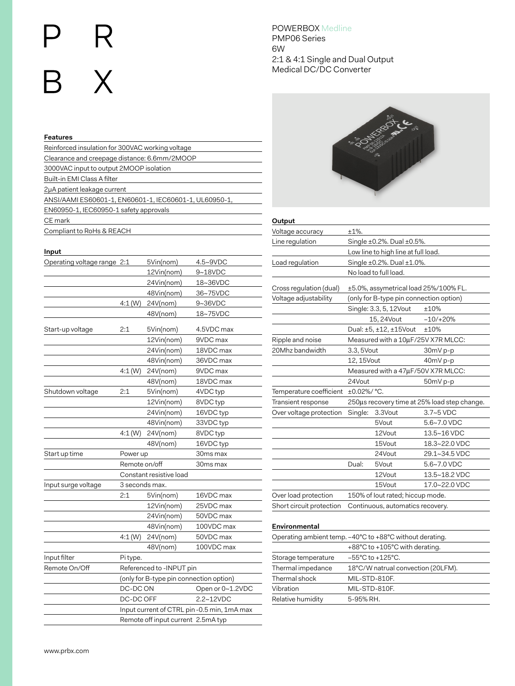# **R** .<br>B X

# **Features** Reinforced insulation for 300VAC working voltage Clearance and creepage distance: 6.6mm/2MOOP 3000VAC input to output 2MOOP isolation Built-in EMI Class A filter 2μA patient leakage current ANSI/AAMI ES60601-1, EN60601-1, IEC60601-1, UL60950-1, EN60950-1, IEC60950-1 safety approvals CE mark Compliant to RoHs & REACH

#### **Input**

| Operating voltage range 2:1 |                                         | 5Vin(nom)                | 4.5~9VDC                                   |  |
|-----------------------------|-----------------------------------------|--------------------------|--------------------------------------------|--|
|                             |                                         | 12Vin(nom)               | 9~18VDC                                    |  |
|                             |                                         | 24Vin(nom)               | 18~36VDC                                   |  |
|                             |                                         | 48Vin(nom)               | 36~75VDC                                   |  |
|                             | 4:1(W)                                  | 24V(nom)                 | 9~36VDC                                    |  |
|                             |                                         | 48V(nom)                 | 18~75VDC                                   |  |
| Start-up voltage            | 2:1                                     | 5Vin(nom)                | 4.5VDC max                                 |  |
|                             |                                         | 12Vin(nom)               | 9VDC max                                   |  |
|                             |                                         | 24Vin(nom)               | 18VDC max                                  |  |
|                             |                                         | 48Vin(nom)               | 36VDC max                                  |  |
|                             | 4:1(W)                                  | 24V(nom)                 | 9VDC max                                   |  |
|                             |                                         | 48V(nom)                 | 18VDC max                                  |  |
| Shutdown voltage            | 2:1                                     | 5Vin(nom)                | 4VDC typ                                   |  |
|                             |                                         | 12Vin(nom)               | 8VDC typ                                   |  |
|                             |                                         | 24Vin(nom)               | 16VDC typ                                  |  |
|                             |                                         | 48Vin(nom)               | 33VDC typ                                  |  |
|                             | 4:1(W)                                  | 24V(nom)                 | 8VDC typ                                   |  |
|                             |                                         | 48V(nom)                 | 16VDC typ                                  |  |
| Start up time               | Power up                                |                          | 30ms max                                   |  |
|                             | Remote on/off                           |                          | 30ms max                                   |  |
|                             |                                         | Constant resistive load  |                                            |  |
| Input surge voltage         | 3 seconds max.                          |                          |                                            |  |
|                             | 2:1                                     | 5Vin(nom)                | 16VDC max                                  |  |
|                             |                                         | 12Vin(nom)               | 25VDC max                                  |  |
|                             |                                         | 24Vin(nom)               | 50VDC max                                  |  |
|                             |                                         | 48Vin(nom)               | 100VDC max                                 |  |
|                             | 4:1(W)                                  | 24V(nom)                 | 50VDC max                                  |  |
|                             |                                         | 48V(nom)                 | 100VDC max                                 |  |
| Input filter                | Pi type.                                |                          |                                            |  |
| Remote On/Off               |                                         | Referenced to -INPUT pin |                                            |  |
|                             | (only for B-type pin connection option) |                          |                                            |  |
|                             | DC-DC ON                                |                          | Open or 0~1.2VDC                           |  |
|                             | DC-DC OFF                               |                          | 2.2~12VDC                                  |  |
|                             |                                         |                          | Input current of CTRL pin-0.5 min, 1mA max |  |
|                             | Remote off input current 2.5mA typ      |                          |                                            |  |

# POWERBOX Medline PMP06 Series 6W 2:1 & 4:1 Single and Dual Output Medical DC/DC Converter



# **Output**

| Voltage accuracy         | $±1\%$ .                            |                                         |                                              |
|--------------------------|-------------------------------------|-----------------------------------------|----------------------------------------------|
| Line regulation          | Single ±0.2%. Dual ±0.5%.           |                                         |                                              |
|                          | Low line to high line at full load. |                                         |                                              |
| Load regulation          | Single ±0.2%. Dual ±1.0%.           |                                         |                                              |
|                          |                                     | No load to full load.                   |                                              |
| Cross regulation (dual)  |                                     | ±5.0%, assymetrical load 25%/100% FL.   |                                              |
| Voltage adjustability    |                                     | (only for B-type pin connection option) |                                              |
|                          |                                     | Single: 3.3, 5, 12Vout                  | ±10%                                         |
|                          |                                     | 15, 24Vout                              | $-10/+20%$                                   |
|                          |                                     | Dual: ±5, ±12, ±15Vout                  | ±10%                                         |
| Ripple and noise         |                                     | Measured with a 10µF/25V X7R MLCC:      |                                              |
| 20Mhz bandwidth          | 3.3, 5Vout                          |                                         | 30mV p-p                                     |
|                          | 12, 15Vout                          |                                         | 40mV p-p                                     |
|                          | Measured with a 47µF/50V X7R MLCC:  |                                         |                                              |
|                          | 24Vout                              |                                         | 50mV p-p                                     |
| Temperature coefficient  | $±0.02\%/°C.$                       |                                         |                                              |
| Transient response       |                                     |                                         | 250us recovery time at 25% load step change. |
| Over voltage protection  | Single:                             | 3.3Vout                                 | $3.7 - 5$ VDC                                |
|                          |                                     | 5Vout                                   | $5.6 - 7.0$ VDC                              |
|                          |                                     | 12Vout                                  | 13.5~16 VDC                                  |
|                          |                                     | 15Vout                                  | 18.3~22.0 VDC                                |
|                          |                                     | 24Vout                                  | 29.1~34.5 VDC                                |
|                          | Dual:                               | 5Vout                                   | 5.6~7.0 VDC                                  |
|                          |                                     | 12Vout                                  | 13.5~18.2 VDC                                |
|                          |                                     | 15Vout                                  | 17.0~22.0 VDC                                |
| Over load protection     |                                     | 150% of lout rated; hiccup mode.        |                                              |
| Short circuit protection | Continuous, automatics recovery.    |                                         |                                              |

### **Environmental**

| Operating ambient temp. -40°C to +88°C without derating. |                                      |  |  |
|----------------------------------------------------------|--------------------------------------|--|--|
|                                                          | +88°C to +105°C with derating.       |  |  |
| Storage temperature                                      | $-55^{\circ}$ C to $+125^{\circ}$ C. |  |  |
| Thermal impedance                                        | 18°C/W natrual convection (20LFM).   |  |  |
| Thermal shock                                            | MIL-STD-810F.                        |  |  |
| Vibration                                                | MIL-STD-810F.                        |  |  |
| Relative humidity                                        | 5-95% RH.                            |  |  |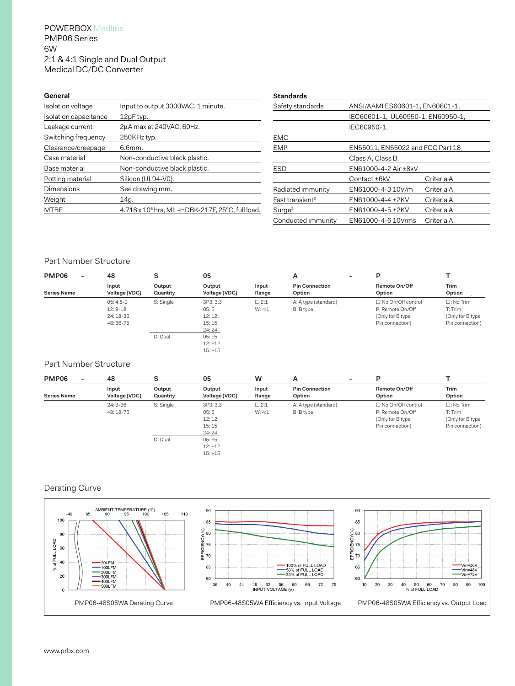## POWERBOX Medline PMP06 Series 6W 2:1 & 4:1 Single and Dual Output Medical DC/DC Converter

| General               |                                                              |
|-----------------------|--------------------------------------------------------------|
| Isolation voltage     | Input to output 3000VAC, 1 minute.                           |
| Isolation capacitance | 12pF typ.                                                    |
| Leakage current       | 2uA max at 240VAC, 60Hz.                                     |
| Switching frequency   | 250KHz typ.                                                  |
| Clearance/creepage    | 6.6mm.                                                       |
| Case material         | Non-conductive black plastic.                                |
| Base material         | Non-conductive black plastic.                                |
| Potting material      | Silicon (UL94-V0).                                           |
| Dimensions            | See drawing mm.                                              |
| Weight                | 14g.                                                         |
| MTBF                  | 4.718 x 10 <sup>6</sup> hrs, MIL-HDBK-217F, 25°C, full load. |
|                       |                                                              |

| Standards                   |                                   |            |  |
|-----------------------------|-----------------------------------|------------|--|
| Safety standards            | ANSI/AAMI ES60601-1, EN60601-1,   |            |  |
|                             | IEC60601-1, UL60950-1, EN60950-1, |            |  |
|                             | IEC60950-1.                       |            |  |
| EMC                         |                                   |            |  |
| EMI <sup>1</sup>            | EN55011, EN55022 and FCC Part 18  |            |  |
|                             | Class A, Class B.                 |            |  |
| ESD                         | EN61000-4-2 Air ±8kV              |            |  |
|                             | Contact ±6kV                      | Criteria A |  |
| Radiated immunity           | EN61000-4-310V/m                  | Criteria A |  |
| Fast transient <sup>2</sup> | EN61000-4-4 +2KV                  | Criteria A |  |
| Surq <sup>2</sup>           | EN61000-4-5 +2KV                  | Criteria A |  |
| Conducted immunity          | EN61000-4-6 10Vrms                | Criteria A |  |

## Part Number Structure

| PMP06<br>$\overline{\phantom{a}}$ | 48            | s         | 05            |            | A<br>۰.               | P                        |                     |
|-----------------------------------|---------------|-----------|---------------|------------|-----------------------|--------------------------|---------------------|
|                                   | Input         | Output    | Output        | Input      | <b>Pin Connection</b> | Remote On/Off            | <b>Trim</b>         |
| <b>Series Name</b>                | Voltage (VDC) | Quantity  | Voltage (VDC) | Range      | Option                | Option                   | Option              |
|                                   | $05:4.5-9$    | S: Single | 3P3: 3.3      | $\Box$ 2:1 | A: A type (standard)  | $\Box$ No On/Off control | $\square$ : No Trim |
|                                   | $12:9-18$     |           | 05:5          | W: 4:1     | B: B type             | P: Remote On/Off         | T: Trim             |
|                                   | 24: 18-36     |           | 12:12         |            |                       | (Only for B type         | (Only for B type    |
|                                   | 48:36-75      |           | 15:15         |            |                       | Pin connection)          | Pin connection)     |
|                                   |               |           | 24:24         |            |                       |                          |                     |
|                                   |               | D: Dual   | 05:±5         |            |                       |                          |                     |
|                                   |               |           | 12:±12        |            |                       |                          |                     |
|                                   |               |           | 15:±15        |            |                       |                          |                     |

#### Part Number Structure

| PMP06<br>٠         | 48                     | c<br>১             | 05                                          | w                    | A                                 | P                                                                              |                                                                       |
|--------------------|------------------------|--------------------|---------------------------------------------|----------------------|-----------------------------------|--------------------------------------------------------------------------------|-----------------------------------------------------------------------|
| <b>Series Name</b> | Input<br>Voltage (VDC) | Output<br>Quantity | Output<br>Voltage (VDC)                     | Input<br>Range       | <b>Pin Connection</b><br>Option   | Remote On/Off<br>Option                                                        | <b>Trim</b><br>Option                                                 |
|                    | $24:9-36$<br>48: 18-75 | S: Single          | 3P3: 3.3<br>05:5<br>12:12<br>15:15<br>24:24 | $\Box$ 2:1<br>W: 4:1 | A: A type (standard)<br>B: B type | □ No On/Off control<br>P: Remote On/Off<br>(Only for B type<br>Pin connection) | $\square$ : No Trim<br>T: Trim<br>(Only for B type<br>Pin connection) |
|                    |                        | D: Dual            | 05:±5<br>12:±12<br>15:±15                   |                      |                                   |                                                                                |                                                                       |

# Derating Curve

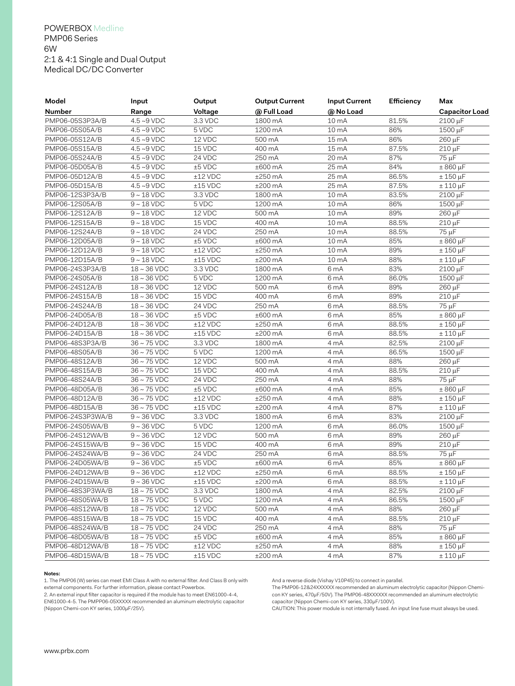## POWERBOX Medline PMP06 Series 6W 2:1 & 4:1 Single and Dual Output Medical DC/DC Converter

| Model            | Input                   | Output                  | <b>Output Current</b>   | <b>Input Current</b> | Efficiency | Max                   |
|------------------|-------------------------|-------------------------|-------------------------|----------------------|------------|-----------------------|
| <b>Number</b>    | Range                   | Voltage                 | @ Full Load             | @ No Load            |            | <b>Capacitor Load</b> |
| PMP06-05S3P3A/B  | $4.5 - 9$ VDC           | 3.3 VDC                 | 1800 mA                 | 10 mA                | 81.5%      | 2100 µF               |
| PMP06-05S05A/B   | $4.5 - 9$ VDC           | 5 VDC                   | 1200 mA                 | 10 mA                | 86%        | 1500 µF               |
| PMP06-05S12A/B   | $4.5 - 9$ VDC           | 12 VDC                  | 500 mA                  | 15 <sub>mA</sub>     | 86%        | 260 µF                |
| PMP06-05S15A/B   | $4.5 - 9$ VDC           | 15 VDC                  | 400 mA                  | 15 mA                | 87.5%      | 210 µF                |
| PMP06-05S24A/B   | $4.5 - 9$ VDC           | 24 VDC                  | $250 \text{ mA}$        | 20 mA                | 87%        | 75 µF                 |
| PMP06-05D05A/B   | $4.5 - 9$ VDC           | ±5 VDC                  | ±600mA                  | 25 mA                | 84%        | $± 860 \mu F$         |
| PMP06-05D12A/B   | $4.5 - 9$ VDC           | $±12$ VDC               | ±250mA                  | 25 mA                | 86.5%      | $± 150 \mu F$         |
| PMP06-05D15A/B   | $4.5 - 9$ VDC           | $±15$ VDC               | ±200mA                  | $25 \text{ mA}$      | 87.5%      | $± 110 \mu F$         |
| PMP06-12S3P3A/B  | $9 - 18$ VDC            | 3.3 VDC                 | 1800 mA                 | 10 mA                | 83.5%      | 2100 µF               |
| PMP06-12S05A/B   | $9 - 18$ VDC            | 5 VDC                   | 1200 mA                 | 10 mA                | 86%        | 1500 µF               |
| PMP06-12S12A/B   | $9 - 18$ VDC            | 12 VDC                  | 500 mA                  | 10 mA                | 89%        | $260 \mu F$           |
| PMP06-12S15A/B   | $9 - 18$ VDC            | 15 VDC                  | 400 mA                  | 10 mA                | 88.5%      | $210 \mu F$           |
| PMP06-12S24A/B   | $9 \sim 18$ VDC         | 24 VDC                  | 250 mA                  | 10 mA                | 88.5%      | 75 µF                 |
| PMP06-12D05A/B   | $9 \sim 18$ VDC         | ±5 VDC                  | ±600mA                  | 10 mA                | 85%        | $± 860 \mu F$         |
| PMP06-12D12A/B   | $9 \sim 18$ VDC         | $±12$ VDC               | ±250mA                  | 10 mA                | 89%        | $± 150 \mu F$         |
| PMP06-12D15A/B   | $9 - 18$ VDC            | $±15$ VDC               | ±200mA                  | 10 mA                | 88%        | $± 110 \mu F$         |
| PMP06-24S3P3A/B  | $18 \sim 36$ VDC        | 3.3 VDC                 | 1800 mA                 | 6 <sub>m</sub> A     | 83%        | $2100 \mu F$          |
| PMP06-24S05A/B   | $18 \sim 36$ VDC        | 5 VDC                   | 1200 mA                 | 6 <sub>m</sub> A     | 86.0%      | 1500 µF               |
| PMP06-24S12A/B   | $18 \sim 36$ VDC        | 12 VDC                  | 500 mA                  | 6 <sub>m</sub> A     | 89%        | 260 μF                |
| PMP06-24S15A/B   | $18 \sim 36$ VDC        | 15 VDC                  | 400 mA                  | 6 <sub>m</sub> A     | 89%        | $210 \mu F$           |
| PMP06-24S24A/B   | $18 \sim 36$ VDC        | 24 VDC                  | 250 mA                  | 6 <sub>m</sub> A     | 88.5%      | 75 µF                 |
| PMP06-24D05A/B   | $18 \sim 36$ VDC        | ±5 VDC                  | $\overline{\pm 600}$ mA | 6 <sub>m</sub> A     | 85%        | $± 860 \mu F$         |
| PMP06-24D12A/B   | $18 \sim 36$ VDC        | $\overline{\pm 12}$ VDC | ±250mA                  | 6 <sub>m</sub> A     | 88.5%      | $± 150 \mu F$         |
| PMP06-24D15A/B   | $18 \sim 36$ VDC        | $±15$ VDC               | ±200mA                  | 6 <sub>m</sub> A     | 88.5%      | $± 110 \mu F$         |
| PMP06-48S3P3A/B  | $36 \sim 75$ VDC        | 3.3 VDC                 | 1800 mA                 | 4 mA                 | 82.5%      | 2100 µF               |
| PMP06-48S05A/B   | $36 \sim 75$ VDC        | 5 VDC                   | 1200 mA                 | 4 mA                 | 86.5%      | 1500 µF               |
| PMP06-48S12A/B   | $36 \sim 75$ VDC        | 12 VDC                  | 500 mA                  | 4 mA                 | 88%        | 260 µF                |
| PMP06-48S15A/B   | $36 \sim 75$ VDC        | 15 VDC                  | 400 mA                  | 4 mA                 | 88.5%      | 210 µF                |
| PMP06-48S24A/B   | $36 \sim 75$ VDC        | 24 VDC                  | 250 mA                  | 4 mA                 | 88%        | 75 µF                 |
| PMP06-48D05A/B   | $36 \sim 75$ VDC        | ±5 VDC                  | ±600mA                  | 4 mA                 | 85%        | $± 860 \mu F$         |
| PMP06-48D12A/B   | $36 \sim 75$ VDC        | $±12$ VDC               | ±250mA                  | 4 mA                 | 88%        | $± 150 \mu F$         |
| PMP06-48D15A/B   | $36 \sim 75$ VDC        | $±15$ VDC               | ±200mA                  | 4 mA                 | 87%        | $± 110 \mu F$         |
| PMP06-24S3P3WA/B | $9 - 36$ VDC            | 3.3 VDC                 | 1800 mA                 | 6 <sub>m</sub> A     | 83%        | 2100 µF               |
| PMP06-24S05WA/B  | $9 - 36$ VDC            | 5 VDC                   | 1200 mA                 | 6 <sub>m</sub> A     | 86.0%      | 1500 µF               |
| PMP06-24S12WA/B  | $9 - 36$ VDC            | 12 VDC                  | 500 mA                  | 6 <sub>m</sub> A     | 89%        | 260 µF                |
| PMP06-24S15WA/B  | $9 \sim 36$ VDC         | 15 VDC                  | 400 mA                  | 6 <sub>m</sub> A     | 89%        | $210 \mu F$           |
| PMP06-24S24WA/B  | $9 - 36$ VDC            | 24 VDC                  | 250 mA                  | 6 <sub>m</sub> A     | 88.5%      | 75 µF                 |
| PMP06-24D05WA/B  | $9 - 36$ VDC            | ±5 VDC                  | $±600$ mA               | 6 mA                 | 85%        | $± 860 \mu F$         |
| PMP06-24D12WA/B  | $9 - 36$ VDC            | $±12$ VDC               | $±250$ mA               | 6 mA                 | 88.5%      | $± 150 \mu F$         |
| PMP06-24D15WA/B  | $9 \sim 36 \text{ VDC}$ | $±15$ VDC               | ±200mA                  | 6 mA                 | 88.5%      | $\pm$ 110 $\mu$ F     |
| PMP06-48S3P3WA/B | $18 \sim 75$ VDC        | 3.3 VDC                 | 1800 mA                 | 4 mA                 | 82.5%      | 2100 µF               |
| PMP06-48S05WA/B  | $18 \sim 75$ VDC        | 5 VDC                   | 1200 mA                 | 4 mA                 | 86.5%      | 1500 µF               |
| PMP06-48S12WA/B  | $18 \sim 75$ VDC        | 12 VDC                  | 500 mA                  | 4 mA                 | 88%        | 260 µF                |
| PMP06-48S15WA/B  | $18 \sim 75$ VDC        | 15 VDC                  | 400 mA                  | 4 mA                 | 88.5%      | 210 µF                |
| PMP06-48S24WA/B  | $18 \sim 75$ VDC        | 24 VDC                  | 250 mA                  | 4 mA                 | 88%        | 75 µF                 |
| PMP06-48D05WA/B  | $18 \sim 75$ VDC        | $±5$ VDC                | $±600$ mA               | 4 mA                 | 85%        | $± 860 \mu F$         |
| PMP06-48D12WA/B  | $18 \sim 75$ VDC        | $±12$ VDC               | ±250mA                  | 4 mA                 | 88%        | $± 150 \mu F$         |
| PMP06-48D15WA/B  | $18 \sim 75$ VDC        | $\pm 15$ VDC            | ±200mA                  | 4 mA                 | 87%        | $± 110 \mu F$         |

#### **Notes:**

1. The PMP06 (W) series can meet EMI Class A with no external filter. And Class B only with external components. For further information, please contact Powerbox.

2. An external input filter capacitor is required if the module has to meet EN61000-4-4,

EN61000-4-5. The PMPP06-05XXXXX recommended an aluminum electrolytic capacitor (Nippon Chemi-con KY series, 1000μF/25V).

And a reverse diode (Vishay V10P45) to connect in parallel.

The PMP06-12&24XXXXXX recommended an aluminum electrolytic capacitor (Nippon Chemicon KY series, 470μF/50V). The PMP06-48XXXXXX recommended an aluminum electrolytic capacitor (Nippon Chemi-con KY series, 330μF/100V).

CAUTION: This power module is not internally fused. An input line fuse must always be used.